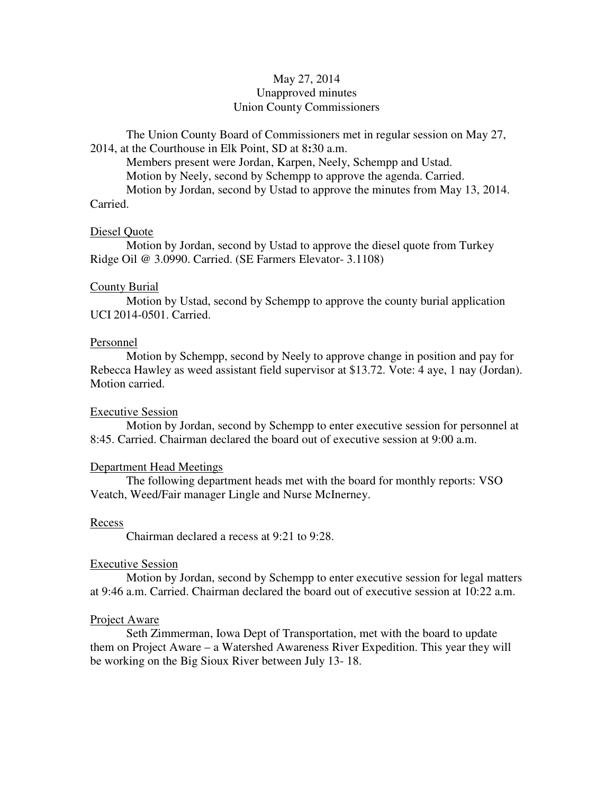# May 27, 2014 Unapproved minutes Union County Commissioners

The Union County Board of Commissioners met in regular session on May 27, 2014, at the Courthouse in Elk Point, SD at 8**:**30 a.m.

 Members present were Jordan, Karpen, Neely, Schempp and Ustad. Motion by Neely, second by Schempp to approve the agenda. Carried. Motion by Jordan, second by Ustad to approve the minutes from May 13, 2014. Carried.

### Diesel Quote

 Motion by Jordan, second by Ustad to approve the diesel quote from Turkey Ridge Oil @ 3.0990. Carried. (SE Farmers Elevator- 3.1108)

## County Burial

 Motion by Ustad, second by Schempp to approve the county burial application UCI 2014-0501. Carried.

### Personnel

 Motion by Schempp, second by Neely to approve change in position and pay for Rebecca Hawley as weed assistant field supervisor at \$13.72. Vote: 4 aye, 1 nay (Jordan). Motion carried.

### Executive Session

 Motion by Jordan, second by Schempp to enter executive session for personnel at 8:45. Carried. Chairman declared the board out of executive session at 9:00 a.m.

### Department Head Meetings

 The following department heads met with the board for monthly reports: VSO Veatch, Weed/Fair manager Lingle and Nurse McInerney.

### Recess

Chairman declared a recess at 9:21 to 9:28.

### Executive Session

 Motion by Jordan, second by Schempp to enter executive session for legal matters at 9:46 a.m. Carried. Chairman declared the board out of executive session at 10:22 a.m.

### Project Aware

 Seth Zimmerman, Iowa Dept of Transportation, met with the board to update them on Project Aware – a Watershed Awareness River Expedition. This year they will be working on the Big Sioux River between July 13- 18.